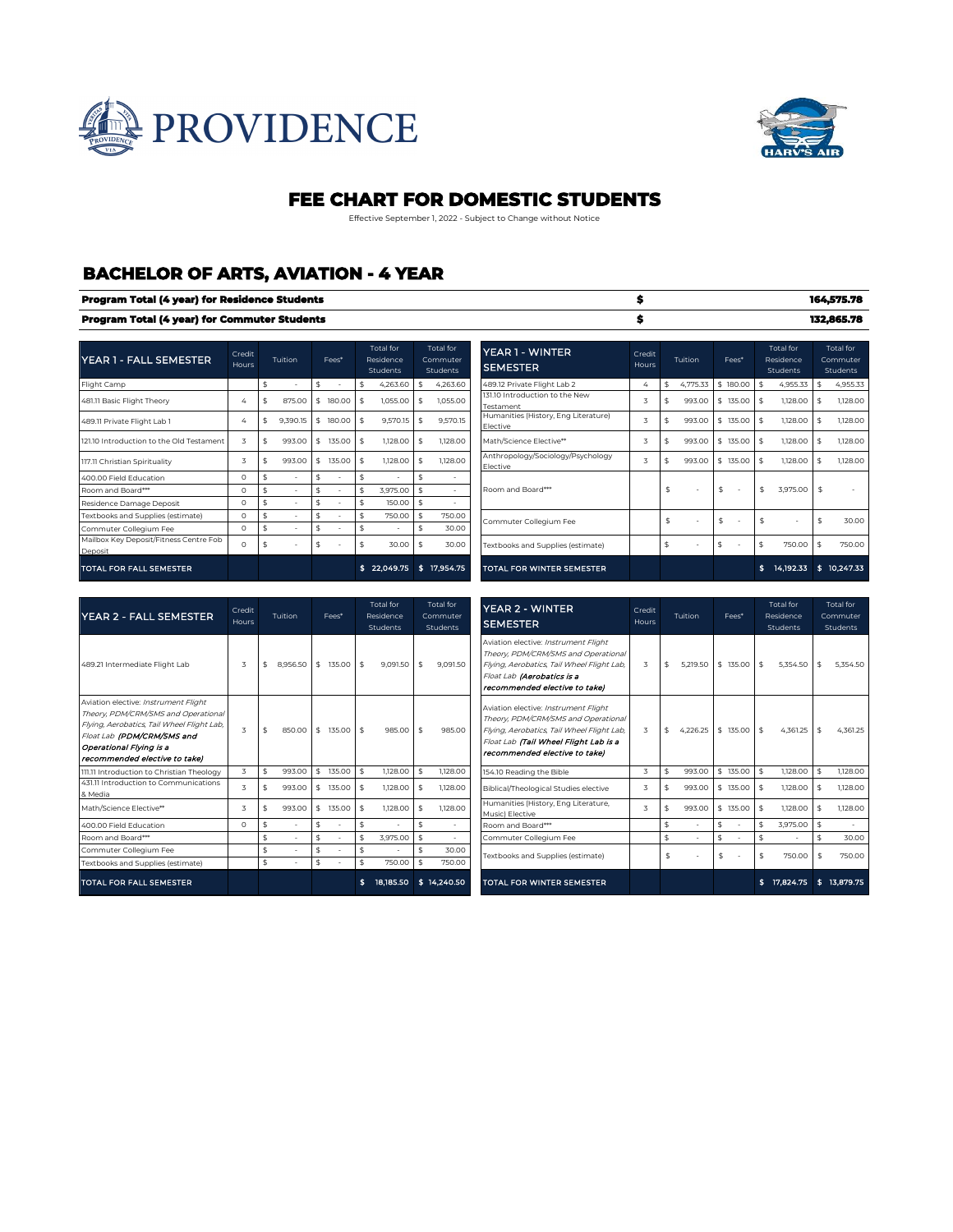



### **FEE CHART FOR DOMESTIC STUDENTS**

Effective September 1, 2022 - Subject to Change without Notice

## **BACHELOR OF ARTS, AVIATION - 4 YEAR**

|                                                   |                 | Program Total (4 year) for Residence Students |                    |                          |     |                                           |              |                                          |                                                  |                 |                |          |               |                                           |    | 164,575.78                        |
|---------------------------------------------------|-----------------|-----------------------------------------------|--------------------|--------------------------|-----|-------------------------------------------|--------------|------------------------------------------|--------------------------------------------------|-----------------|----------------|----------|---------------|-------------------------------------------|----|-----------------------------------|
| Program Total (4 year) for Commuter Students      |                 |                                               |                    |                          |     |                                           |              |                                          |                                                  |                 |                |          |               |                                           |    | 132,865.78                        |
| <b>YEAR 1 - FALL SEMESTER</b>                     | Credit<br>Hours | Tuition                                       |                    | Fees*                    |     | <b>Total</b> for<br>Residence<br>Students |              | Total for<br>Commuter<br><b>Students</b> | YEAR 1 - WINTER<br><b>SEMESTER</b>               | Credit<br>Hours | Tuition        | Fees*    |               | <b>Total</b> for<br>Residence<br>Students |    | Total for<br>Commuter<br>Students |
| Flight Camp                                       |                 | \$<br>$\overline{\phantom{a}}$                | \$                 | $\overline{\phantom{a}}$ | \$  | 4,263.60                                  | \$           | 4,263.60                                 | 489.12 Private Flight Lab 2                      | 4               | \$<br>4.775.33 | \$180.00 | $\mathsf{\$}$ | 4,955.33                                  | \$ | 4,955.33                          |
| 481.11 Basic Flight Theory                        | $\Delta$        | \$<br>875.00                                  | \$                 | 180.00                   | -Ŝ  | 1,055.00                                  | \$           | 1.055.00                                 | 131.10 Introduction to the New<br>Testament      | 3               | \$<br>993.00   | \$135.00 | \$            | 1,128.00                                  | \$ | 1,128.00                          |
| 489.11 Private Flight Lab 1                       | $\Delta$        | \$<br>9,390.15                                | \$                 | 180,00                   | -Ŝ  | 9.570.15                                  | -\$          | 9,570.15                                 | Humanities (History, Eng Literature)<br>Elective | 3               | \$<br>993.00   | \$135.00 | -\$           | 1,128,00                                  |    | 1,128.00                          |
| 121.10 Introduction to the Old Testament          | 3               | \$<br>993.00                                  | \$                 | 135.00                   | -Ŝ  | 1,128.00                                  | \$           | 1,128.00                                 | Math/Science Elective**                          | 3               | \$<br>993.00   | \$135.00 | \$            | 1,128.00                                  | \$ | 1,128.00                          |
| 117.11 Christian Spirituality                     | 3               | \$<br>993.00                                  | \$                 | 135.00                   | -\$ | 1,128,00                                  | -\$          | 1,128,00                                 | Anthropology/Sociology/Psychology<br>Elective    | 3               | \$<br>993.00   | \$135.00 | $\frac{4}{3}$ | 1,128,00                                  |    | 1,128.00                          |
| 400.00 Field Education                            | $\Omega$        | \$                                            | \$                 |                          | \$  |                                           | \$           | $\sim$                                   |                                                  |                 |                |          |               |                                           |    |                                   |
| Room and Board***                                 | $\Omega$        |                                               |                    |                          | Ŝ   | 3.975.00                                  | $\mathsf{s}$ |                                          | Room and Board***                                |                 | \$             | \$<br>٠. | \$            | 3,975.00                                  | Ŝ. |                                   |
| Residence Damage Deposit                          | $\Omega$        | \$<br>$\sim$                                  | $\mathbf{\hat{S}}$ |                          | Ŝ   | 150.00                                    | \$           | $\sim$                                   |                                                  |                 |                |          |               |                                           |    |                                   |
| Textbooks and Supplies (estimate)                 | $\Omega$        | \$                                            | $\mathbf{\hat{S}}$ |                          | \$  | 750.00                                    | \$           | 750.00                                   | Commuter Collegium Fee                           |                 | \$<br>×.       | \$<br>٠. | \$            |                                           | \$ | 30.00                             |
| Commuter Collegium Fee                            | $\Omega$        | \$                                            | $\mathbf{\hat{S}}$ |                          | \$  | ٠                                         | \$           | 30.00                                    |                                                  |                 |                |          |               |                                           |    |                                   |
| Mailbox Key Deposit/Fitness Centre Fob<br>Deposit | $\Omega$        | \$                                            | \$                 |                          | -\$ | 30.00                                     | -\$          | 30.00                                    | Textbooks and Supplies (estimate)                |                 | \$<br>٠        | \$<br>٠. | \$            | 750.00                                    | \$ | 750.00                            |
| <b>TOTAL FOR FALL SEMESTER</b>                    |                 |                                               |                    |                          |     | \$22,049.75                               | -\$          | 17,954.75                                | TOTAL FOR WINTER SEMESTER                        |                 |                |          | \$            | 14.192.33                                 |    | \$10.247.33                       |

| <b>YEAR 2 - FALL SEMESTER</b>                                                                                                                                                                                       | Credit<br>Hours         | Tuition        |                    | Fees*  |               | Total for<br>Residence<br>Students |                                                                                                                                                                                                                                                                    | <b>Total</b> for<br>Commuter<br>Students | <b>YEAR 2 - WINTER</b><br>Credit<br>Tuition<br>Fees*<br>Hours<br><b>SEMESTER</b>                                                                                                                                                      | <b>Total</b> for<br>Residence<br>Students | <b>Total</b> for<br>Commuter<br>Students |  |
|---------------------------------------------------------------------------------------------------------------------------------------------------------------------------------------------------------------------|-------------------------|----------------|--------------------|--------|---------------|------------------------------------|--------------------------------------------------------------------------------------------------------------------------------------------------------------------------------------------------------------------------------------------------------------------|------------------------------------------|---------------------------------------------------------------------------------------------------------------------------------------------------------------------------------------------------------------------------------------|-------------------------------------------|------------------------------------------|--|
| 489.21 Intermediate Flight Lab                                                                                                                                                                                      | $\overline{\mathbf{z}}$ | 8.956.50<br>\$ | s.                 | 135.00 | $\sim$        | 9.091.50                           | - \$                                                                                                                                                                                                                                                               | 9.091.50                                 | Aviation elective: Instrument Flight<br>Theory, PDM/CRM/SMS and Operational<br>\$<br>5.219.50<br>\$<br>135,00<br>\$<br>3<br>Flying, Aerobatics, Tail Wheel Flight Lab,<br>Float Lab (Aerobatics is a<br>recommended elective to take) | 5.354.50                                  | 5.354.50<br>\$                           |  |
| Aviation elective: Instrument Flight<br>Theory. PDM/CRM/SMS and Operational<br>Flying, Aerobatics, Tail Wheel Flight Lab,<br>Float Lab (PDM/CRM/SMS and<br>Operational Flying is a<br>recommended elective to take) | $\overline{\mathbf{z}}$ | 850.00<br>\$   | s.                 | 135.00 | $\frac{1}{2}$ | 985.00                             | Aviation elective: Instrument Flight<br>Theory, PDM/CRM/SMS and Operational<br>985.00<br>- \$<br>Flying, Aerobatics, Tail Wheel Flight Lab,<br>Float Lab (Tail Wheel Flight Lab is a<br>recommended elective to take)<br>154.10 Reading the Bible<br>$\frac{4}{3}$ |                                          | \$<br>$4,226.25$ \$<br>135,00 \$<br>$\overline{3}$                                                                                                                                                                                    | 4.361.25                                  | 4.361.25<br>-\$                          |  |
| 111.11 Introduction to Christian Theology                                                                                                                                                                           | $\overline{\mathbf{z}}$ | 993.00<br>\$   | s.                 | 135,00 |               | 1,128,00                           |                                                                                                                                                                                                                                                                    | 1,128,00                                 | \$<br>\$135,00<br>-\$<br>3<br>993.OC                                                                                                                                                                                                  | 1,128,00                                  | 1,128,00                                 |  |
| 431.11 Introduction to Communications<br>& Media                                                                                                                                                                    |                         | 993.00         | s.                 | 135,00 |               | 1,128,00                           |                                                                                                                                                                                                                                                                    | 1,128,00                                 | 3<br>\$<br>993.OC<br>\$135.00<br>-\$<br>Biblical/Theological Studies elective                                                                                                                                                         | 1,128,00                                  | 1,128,00                                 |  |
| Math/Science Flective**                                                                                                                                                                                             | 3                       | 993.00<br>\$   | s.                 | 135,00 | -\$           | 1,128,00                           |                                                                                                                                                                                                                                                                    | 1,128,00                                 | Humanities (History, Eng Literature,<br>3<br>\$<br>993.OC<br>\$135.00<br>\$<br>Music) Elective                                                                                                                                        | 1,128,00                                  | 1,128,00                                 |  |
| 400.00 Field Education                                                                                                                                                                                              | $\Omega$                | \$             | Ŝ.                 |        | Ŝ             |                                    | $\frac{4}{3}$                                                                                                                                                                                                                                                      |                                          | \$<br>\$<br>\$<br>Room and Board***                                                                                                                                                                                                   | 3.975.00                                  | $\sim$                                   |  |
| Room and Board***                                                                                                                                                                                                   |                         | $\frac{4}{3}$  | $\hat{\mathbf{s}}$ |        |               | 3.975.00                           | l \$                                                                                                                                                                                                                                                               |                                          | \$<br>\$<br>\$<br>Commuter Collegium Fee                                                                                                                                                                                              |                                           | 30.00                                    |  |
| Commuter Collegium Fee                                                                                                                                                                                              |                         | \$<br>$\sim$   | \$                 |        | Ŝ.            |                                    | \$                                                                                                                                                                                                                                                                 | 30.00                                    | \$<br>Textbooks and Supplies (estimate)<br>\$<br>\$<br>٠                                                                                                                                                                              | 750.00                                    | 750.00                                   |  |
| Textbooks and Supplies (estimate)                                                                                                                                                                                   |                         | \$             | \$                 |        | \$            | 750.00                             |                                                                                                                                                                                                                                                                    | 750.00                                   |                                                                                                                                                                                                                                       |                                           |                                          |  |
| <b>TOTAL FOR FALL SEMESTER</b>                                                                                                                                                                                      |                         |                |                    |        |               | 18.185.50                          |                                                                                                                                                                                                                                                                    | \$14,240.50                              | <b>TOTAL FOR WINTER SEMESTER</b>                                                                                                                                                                                                      | 17.824.75                                 | 13.879.75                                |  |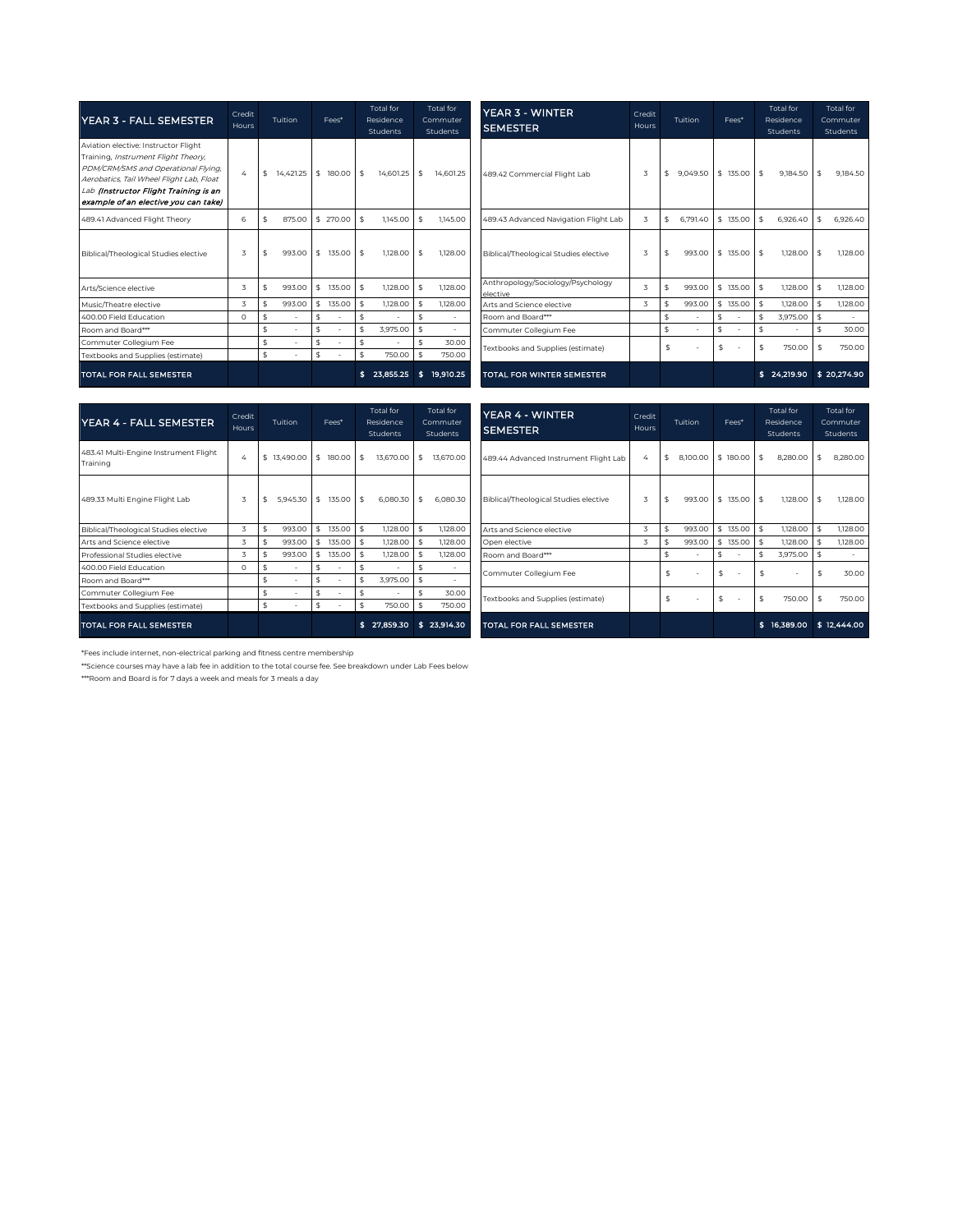| YEAR 3 - FALL SEMESTER                                                                                                                                                                                                                          | Credit<br>Hours | Tuition            | Fees*           | Total for<br>Residence<br>Students | <b>Total</b> for<br>Commuter<br>Students | <b>YEAR 3 - WINTER</b><br><b>SEMESTER</b>     | Credit<br><b>Hours</b> | Tuition         | Fees*        | Total for<br>Residence<br>Students | <b>Total</b> for<br>Commuter<br>Students |
|-------------------------------------------------------------------------------------------------------------------------------------------------------------------------------------------------------------------------------------------------|-----------------|--------------------|-----------------|------------------------------------|------------------------------------------|-----------------------------------------------|------------------------|-----------------|--------------|------------------------------------|------------------------------------------|
| Aviation elective: Instructor Flight<br>Training, Instrument Flight Theory,<br>PDM/CRM/SMS and Operational Flying,<br>Aerobatics, Tail Wheel Flight Lab, Float<br>Lab (Instructor Flight Training is an<br>example of an elective you can take) | $\Delta$        | \$<br>14.421.25    | 180.00 \$<br>\$ | 14.601.25                          | 14.601.25<br><b>S</b>                    | 489.42 Commercial Flight Lab                  | 3                      | 9.049.50<br>-\$ | 135,00<br>\$ | 9.184.50<br>\$                     | 9.184.50<br>\$                           |
| 489.41 Advanced Flight Theory                                                                                                                                                                                                                   | 6               | 875.00<br>-9       | \$270.00        | 1,145.00<br>-\$                    | 1.145.00<br>-\$                          | 489.43 Advanced Navigation Flight Lab         | 3                      | \$<br>6.791.40  | \$135.00     | 6.926.40<br>\$                     | 6.926.40<br>\$                           |
| Biblical/Theological Studies elective                                                                                                                                                                                                           | 3               | 993.00<br>\$       | 135,00 \$<br>\$ | 1,128.00                           | 1,128.00                                 | Biblical/Theological Studies elective         | 3                      | 993.00<br>\$    | $$135.00$ \$ | 1,128.00                           | \$<br>1,128,00                           |
| Arts/Science elective                                                                                                                                                                                                                           | 3               | 993.00<br>\$       | \$<br>135.00    | 1,128.00<br><b>S</b>               | 1,128,00                                 | Anthropology/Sociology/Psychology<br>elective | z                      | 993.00<br>\$    | \$135.00     | \$<br>1,128,00                     | 1,128.00<br>-\$                          |
| Music/Theatre elective                                                                                                                                                                                                                          | $\overline{z}$  | 993.00<br>\$       | 135.00<br>\$    | 1,128.00                           | 1,128.00<br>\$                           | Arts and Science elective                     | 3                      | 993.00<br>\$    | \$135.00     | 1,128,00<br>\$                     | \$<br>1,128,00                           |
| 400.00 Field Education                                                                                                                                                                                                                          | $\Omega$        | $\mathbf{\hat{z}}$ | Ŝ               | $\sim$                             | \$<br>$\sim$                             | Room and Board***                             |                        | \$              | \$           | 3.975.00<br>\$                     | \$<br>$\sim$                             |
| Room and Board***                                                                                                                                                                                                                               |                 |                    |                 | 3.975.00                           | l S                                      | Commuter Collegium Fee                        |                        | \$              |              | \$                                 | 30.00                                    |
| Commuter Collegium Fee                                                                                                                                                                                                                          |                 | \$                 | \$              | \$                                 | 30.00                                    | Textbooks and Supplies (estimate)             |                        | \$              | \$           | 750.00<br>\$                       | 750.00<br>-Ŝ                             |
| Textbooks and Supplies (estimate)                                                                                                                                                                                                               |                 | \$                 | \$              | 750.00                             | 750.00                                   |                                               |                        |                 |              |                                    |                                          |
| <b>TOTAL FOR FALL SEMESTER</b>                                                                                                                                                                                                                  |                 |                    |                 | \$23,855.25                        | 19,910.25<br>s.                          | <b>TOTAL FOR WINTER SEMESTER</b>              |                        |                 |              | \$24,219.90                        | \$20,274.90                              |

| YEAR 4 - FALL SEMESTER                            | Credit<br>Hours                                                                                                                            | Tuition        | Fees*        |                    | Total for<br>Residence<br>Students | Total for<br>Commuter<br>Students |             | YEAR 4 - WINTER<br><b>SEMESTER</b>    | Credit<br>Hours | Tuition                 | Fees*               | Total for<br>Residence<br>Students | Total for<br>Commuter<br>Students |
|---------------------------------------------------|--------------------------------------------------------------------------------------------------------------------------------------------|----------------|--------------|--------------------|------------------------------------|-----------------------------------|-------------|---------------------------------------|-----------------|-------------------------|---------------------|------------------------------------|-----------------------------------|
| 483.41 Multi-Engine Instrument Flight<br>Training | 4                                                                                                                                          | \$13,490.00    | $$180.00$ \$ |                    | 13,670.00                          | \$<br>13,670.00                   |             | 489.44 Advanced Instrument Flight Lab | 4               | \$<br>8,100.00 \$180.00 |                     | \$<br>8,280.00 \$                  | 8,280,00                          |
| 489.33 Multi Engine Flight Lab                    | 3                                                                                                                                          | \$<br>5.945.30 | $$135.00$ \$ |                    | $6,080.30$ \$                      | 6.080.30                          |             | Biblical/Theological Studies elective | 3               | \$                      | 993.00 \$ 135.00 \$ | $1,128.00$ \$                      | 1,128.0C                          |
| Biblical/Theological Studies elective             | 3                                                                                                                                          | 993.00         | \$<br>135.00 | $\hat{\mathbf{s}}$ | 1,128.00                           | 1,128,00                          |             | Arts and Science elective             | 3               | 993.00                  | \$<br>135.00        | \$<br>1,128.00 \$                  | 1.128.00                          |
| Arts and Science elective                         |                                                                                                                                            | 993.00         | \$<br>135.00 | $\hat{\mathbf{s}}$ | 1,128.00                           | 1,128.00                          |             | Open elective                         | 3               | 993.00                  | \$135.00            | 1,128.00                           | 1,128.0C                          |
| Professional Studies elective                     | 3                                                                                                                                          | 993.00         | \$135.00     | $\hat{\mathbf{s}}$ | 1,128,00                           | 1,128,00                          |             | Room and Board***                     |                 | \$                      |                     | 3.975.00                           |                                   |
| 400.00 Field Education                            | $\Omega$                                                                                                                                   |                | \$           |                    |                                    |                                   |             | Commuter Collegium Fee                |                 | \$                      | \$                  | ٠                                  | 30.OC                             |
| Room and Board***                                 |                                                                                                                                            |                | \$           |                    | 3.975.00                           | \$                                |             |                                       |                 |                         |                     |                                    |                                   |
| Commuter Collegium Fee                            | 30.00<br>\$<br>Textbooks and Supplies (estimate)<br>750.00<br>750.00<br>\$<br>\$27,859.30<br>\$23,914.30<br><b>TOTAL FOR FALL SEMESTER</b> |                |              | \$                 | \$                                 | \$<br>750.00 \$                   | 750.0C      |                                       |                 |                         |                     |                                    |                                   |
| Textbooks and Supplies (estimate)                 |                                                                                                                                            |                |              |                    |                                    |                                   |             |                                       |                 |                         |                     |                                    |                                   |
| <b>TOTAL FOR FALL SEMESTER</b>                    |                                                                                                                                            |                |              |                    |                                    | \$16,389.00                       | \$12,444.00 |                                       |                 |                         |                     |                                    |                                   |

\*Fees include internet, non-electrical parking and fitness centre membership

\*\*Science courses may have a lab fee in addition to the total course fee. See breakdown under Lab Fees below

\*\*\*Room and Board is for 7 days a week and meals for 3 meals a day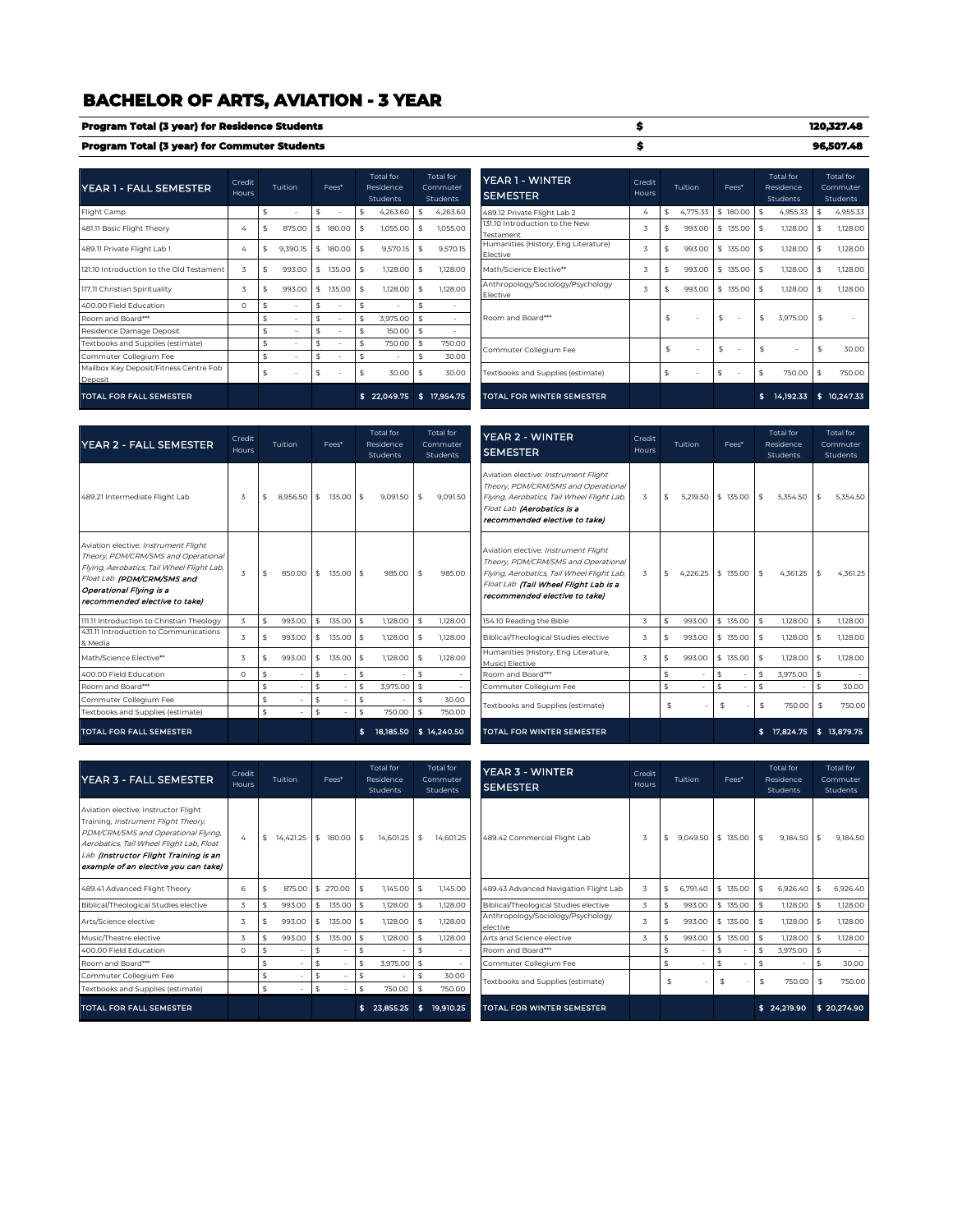# **BACHELOR OF ARTS, AVIATION - 3 YEAR**

| Program Total (3 year) for Residence Students |  |
|-----------------------------------------------|--|
| Program Total (3 year) for Commuter Students  |  |

 $\overline{\phantom{a}}$  $\blacksquare$ 

| YEAR 1 - FALL SEMESTER                            | Credit<br>Hours | Tuition      |     | Fees*  | Total for<br>Residence<br>Students |     | Total for<br>Commuter<br><b>Students</b> |                                               | YEAR 1 - WINTER<br><b>SEMESTER</b>               | Credit<br>Hours | Tuition        | Fees*                          |               | Total for<br>Residence<br>Students |    | Total for<br>Commuter<br><b>Students</b> |
|---------------------------------------------------|-----------------|--------------|-----|--------|------------------------------------|-----|------------------------------------------|-----------------------------------------------|--------------------------------------------------|-----------------|----------------|--------------------------------|---------------|------------------------------------|----|------------------------------------------|
| Flight Camp                                       |                 |              |     |        | 4,263.60                           |     | 4,263.60                                 |                                               | 489.12 Private Flight Lab 2                      | 4               | \$<br>4,775.33 | \$180.00                       | -\$           | 4,955.33                           |    | 4,955.33                                 |
| 481.11 Basic Flight Theory                        |                 | \$<br>875.00 | Ŝ.  | 180.00 | \$<br>1,055.00                     |     | 1,055.00                                 |                                               | 131.10 Introduction to the New<br>Testament      | 3               | \$<br>993.00   | \$135.00                       | $\frac{4}{5}$ | $1,128.00$ \$                      |    | 1,128.0C                                 |
| 489.11 Private Flight Lab 1                       | 4               | 9,390.15     | Ŝ.  | 180.00 | \$<br>9,570.15                     |     | 9.570.15                                 |                                               | Humanities (History, Eng Literature)<br>Elective | 3               | \$<br>993.00   | \$<br>135.00                   | \$            | $1,128.00$ \$                      |    | 1,128.00                                 |
| 121.10 Introduction to the Old Testament          |                 | 993.00       | -\$ | 135.00 | \$<br>1,128.00                     |     | 1,128.00                                 |                                               | Math/Science Elective**                          | 3               | 993.00         | \$135.00                       | -\$           | 1,128.00                           |    | 1,128.0C                                 |
| 117.11 Christian Spirituality                     | 3               | 993.00       |     | 135.00 | \$<br>1,128,00                     |     | 1,128,00                                 | Anthropology/Sociology/Psychology<br>Elective |                                                  | 3               | 993.00         | \$135.00                       | $\frac{4}{3}$ | $1.128.00$ \$                      |    | 1,128,00                                 |
| 400.00 Field Education                            | $\Omega$        |              |     |        | \$<br>$\sim$                       |     |                                          |                                               |                                                  |                 |                |                                |               |                                    |    |                                          |
| Room and Board***                                 |                 |              |     |        | \$<br>3,975.00                     | \$  | $\overline{\phantom{a}}$                 |                                               | Room and Board***                                |                 | \$             | \$<br>$\overline{\phantom{a}}$ | \$            | 3,975.00 \$                        |    |                                          |
| Residence Damage Deposit                          |                 |              |     |        | \$<br>150.00                       | \$  |                                          |                                               |                                                  |                 |                |                                |               |                                    |    |                                          |
| Textbooks and Supplies (estimate)                 |                 | \$           |     |        | \$<br>750.00                       | \$  | 750.00                                   |                                               | Commuter Collegium Fee                           |                 | \$             | \$<br>$\overline{\phantom{a}}$ | $\frac{4}{3}$ | ٠                                  | ፍ  | 30.OC                                    |
| Commuter Collegium Fee                            |                 | \$           |     |        | \$<br>٠                            |     | 30.00                                    |                                               |                                                  |                 |                |                                |               |                                    |    |                                          |
| Mailbox Key Deposit/Fitness Centre Fob<br>Deposit |                 | \$           |     |        | \$<br>30.00                        | \$  | 30.00                                    |                                               | Textbooks and Supplies (estimate)                |                 | \$             | \$                             |               | 750.00 \$                          |    | 750.0C                                   |
| <b>TOTAL FOR FALL SEMESTER</b>                    |                 |              |     |        | \$22,049.75                        | \$. | 17,954.75                                |                                               | <b>TOTAL FOR WINTER SEMESTER</b>                 |                 |                |                                |               | 14,192.33                          | ÷. | 10 247.33                                |

| Tuition  | Fees*        | Total for<br>Residence<br><b>Students</b> |     | Total for<br>Commuter<br><b>Students</b> | YEAR 1 - WINTER<br><b>SEMESTER</b>               | Credit<br>Hours | Tuition        | Fees*    | Total for<br>Residence<br>Students |     | <b>Total</b> for<br>Commuter<br><b>Students</b> |
|----------|--------------|-------------------------------------------|-----|------------------------------------------|--------------------------------------------------|-----------------|----------------|----------|------------------------------------|-----|-------------------------------------------------|
| ÷        | \$           | \$<br>4,263.60                            | \$  | 4,263.60                                 | 489.12 Private Flight Lab 2                      | 4               | \$<br>4.775.33 | \$180.00 | \$<br>4,955.33                     | \$  | 4,955.33                                        |
| 875.00   | \$<br>180.00 | \$<br>1,055.00                            | \$  | 1,055,00                                 | 131.10 Introduction to the New<br>Testament      | 3               | 993.00         | \$135.00 | \$<br>1,128.00                     | \$  | 1,128.00                                        |
| 9,390.15 | \$<br>180.00 | \$<br>9,570.15                            | \$  | 9.570.15                                 | Humanities (History, Eng Literature)<br>Elective | 3               | \$<br>993.00   | \$135.00 | \$<br>1,128.00                     | \$  | 1,128.00                                        |
| 993.00   | \$<br>135.00 | \$<br>1,128,00                            | \$  | 1,128,00                                 | Math/Science Elective**                          | 3               | \$<br>993.00   | \$135.00 | \$<br>1,128,00                     | \$  | 1,128.00                                        |
| 993.00   | \$<br>135.00 | \$<br>1,128.00                            | \$  | 1,128,00                                 | Anthropology/Sociology/Psychology<br>Elective    | 3               | \$<br>993.00   | \$135.00 | \$<br>1,128.00                     | \$  | 1,128.00                                        |
|          | \$           | \$<br>٠                                   | \$  |                                          |                                                  |                 |                |          |                                    |     |                                                 |
|          |              | \$<br>3.975.00                            | \$  |                                          | Room and Board***                                |                 | \$             | \$       | \$<br>3.975.00                     | \$  |                                                 |
| $\sim$   | \$           | \$<br>150.00                              | \$  |                                          |                                                  |                 |                |          |                                    |     |                                                 |
| ٠        | \$           | \$<br>750.00                              | \$  | 750.00                                   | Commuter Collegium Fee                           |                 | \$<br>٠        | \$       | \$                                 | \$  | 30.00                                           |
|          | \$           | \$<br>٠                                   | \$  | 30.00                                    |                                                  |                 |                |          |                                    |     |                                                 |
|          | \$           | \$<br>30.00                               | \$  | 30.00                                    | Textbooks and Supplies (estimate)                |                 | \$<br>٠        | \$       | \$<br>750.00                       | \$  | 750.00                                          |
|          |              | 22,049.75                                 | \$. | 17,954.75                                | <b>TOTAL FOR WINTER SEMESTER</b>                 |                 |                |          | \$<br>14, 192. 33                  | \$. | 10.247.33                                       |

**\$ 1 20,327.48 \$ 9 6,507.48**

| <b>YEAR 2 - FALL SEMESTER</b>                                                                                                                                                                                       | Credit<br>Hours |               | Tuition     |               | Fees*     |                          | Total for<br>Residence<br>Students |                    | Total for<br>Commuter<br>Students | <b>YEAR 2 - WINTER</b><br><b>SEMESTER</b>                                                                                                                                                           | Credit<br><b>Hours</b> |    | Tuition            | Fees*    |    | <b>Total</b> for<br>Residence<br>Students |               | Total for<br>Commuter<br>Students |
|---------------------------------------------------------------------------------------------------------------------------------------------------------------------------------------------------------------------|-----------------|---------------|-------------|---------------|-----------|--------------------------|------------------------------------|--------------------|-----------------------------------|-----------------------------------------------------------------------------------------------------------------------------------------------------------------------------------------------------|------------------------|----|--------------------|----------|----|-------------------------------------------|---------------|-----------------------------------|
| 489.21 Intermediate Flight Lab                                                                                                                                                                                      | 3               | \$            | 8.956.50 \$ |               | 135,00 \$ |                          | $9.091.50$ \$                      |                    | 9.091.50                          | Aviation elective: Instrument Flight<br>Theory, PDM/CRM/SMS and Operational<br>Flying, Aerobatics, Tail Wheel Flight Lab,<br>Float Lab (Aerobatics is a<br>recommended elective to take)            | 3                      | \$ | 5.219.50 \$ 135.00 |          | \$ | 5.354.50                                  |               | 5.354.50                          |
| Aviation elective: Instrument Flight<br>Theory, PDM/CRM/SMS and Operational<br>Flying, Aerobatics, Tail Wheel Flight Lab,<br>Float Lab (PDM/CRM/SMS and<br>Operational Flying is a<br>recommended elective to take) | 3               | $\frac{4}{3}$ | 850.00      | $\frac{4}{5}$ | 135,00 \$ |                          | 985.00                             | $\frac{1}{2}$      | 985.00                            | Aviation elective: Instrument Flight<br>Theory, PDM/CRM/SMS and Operational<br>Flying, Aerobatics, Tail Wheel Flight Lab,<br>Float Lab (Tail Wheel Flight Lab is a<br>recommended elective to takel | 3                      | \$ | 4.226.25           | \$135.00 | \$ | 4.361.25                                  | -\$           | 4.361.25                          |
| 111.11 Introduction to Christian Theology                                                                                                                                                                           | 3               |               | 993.00      | \$            | 135.00    |                          | 1,128,00                           | $\mathbf{\hat{S}}$ | 1,128,00                          | 154.10 Reading the Bible                                                                                                                                                                            | 3                      | Ŝ. | 993.00             | \$135.00 | \$ | 1,128,00                                  | Ŝ.            | 1,128,00                          |
| 431.11 Introduction to Communications<br>& Media                                                                                                                                                                    | 3               | \$            | 993.00      | -\$           | 135,00    | $\overline{\phantom{a}}$ | 1,128,00                           | - \$               | 1,128,00                          | Biblical/Theological Studies elective                                                                                                                                                               | 3                      | \$ | 993.00             | \$135,00 | \$ | 1,128,00                                  | - \$          | 1,128,00                          |
| Math/Science Elective**                                                                                                                                                                                             | 3               | \$            | 993.00      | \$.           | 135.00    |                          | 1,128,00                           |                    | 1,128,00                          | Humanities (History, Eng Literature,<br>Music) Elective                                                                                                                                             | 3                      | \$ | 993.00             | \$135.00 | \$ | 1,128,00                                  |               | 1,128,00                          |
| 400.00 Field Education                                                                                                                                                                                              | $\Omega$        | \$            |             | \$            | ٠         | \$                       |                                    | Ŝ.                 |                                   | Room and Board***                                                                                                                                                                                   |                        | \$ |                    | \$       | \$ | 3.975.00 \$                               |               | $\sim$                            |
| Room and Board***                                                                                                                                                                                                   |                 | \$            |             | \$            |           | \$                       | 3.975.00 \$                        |                    |                                   | Commuter Collegium Fee                                                                                                                                                                              |                        | \$ |                    | \$       | \$ |                                           | \$            | 30.00                             |
| Commuter Collegium Fee                                                                                                                                                                                              |                 | \$            | $\sim$      | \$            | ٠         | \$                       |                                    | \$                 | 30.00                             | Textbooks and Supplies (estimate)                                                                                                                                                                   |                        | \$ |                    | \$       | \$ | 750.00                                    | $\frac{4}{3}$ | 750.00                            |
| Textbooks and Supplies (estimate)                                                                                                                                                                                   |                 | \$            |             | \$            |           | \$                       | 750.00                             | <b>S</b>           | 750.00                            |                                                                                                                                                                                                     |                        |    |                    |          |    |                                           |               |                                   |
| <b>TOTAL FOR FALL SEMESTER</b>                                                                                                                                                                                      |                 |               |             |               |           |                          |                                    |                    | 18,185.50 \$ 14,240.50            | <b>TOTAL FOR WINTER SEMESTER</b>                                                                                                                                                                    |                        |    |                    |          |    | 17.824.75                                 |               | 13.879.75                         |

| YEAR 3 - FALL SEMESTER                                                                                                                                                                                                                          | Credit<br>Hours | Tuition          | Fees*                 | <b>Total</b> for<br>Residence<br>Students | <b>Total</b> for<br>Commuter<br><b>Students</b> | <b>YEAR 3 - WINTER</b><br><b>SEMESTER</b>     | Credit<br>Hours | Tuition        | Fees*    | <b>Total</b> for<br>Residence<br>Students | Total for<br>Commuter<br>Students |
|-------------------------------------------------------------------------------------------------------------------------------------------------------------------------------------------------------------------------------------------------|-----------------|------------------|-----------------------|-------------------------------------------|-------------------------------------------------|-----------------------------------------------|-----------------|----------------|----------|-------------------------------------------|-----------------------------------|
| Aviation elective: Instructor Flight<br>Training, Instrument Flight Theory,<br>PDM/CRM/SMS and Operational Flying,<br>Aerobatics, Tail Wheel Flight Lab, Float<br>Lab (Instructor Flight Training is an<br>example of an elective you can take) | 4               | 14.421.25<br>-\$ | 180.00 \$<br><b>S</b> | 14,601.25 \$                              | 14,601.25                                       | 489.42 Commercial Flight Lab                  |                 | 9.049.50<br>\$ | \$135.00 | 9,184.50<br>$\frac{1}{2}$                 | 9,184.50                          |
| 489.41 Advanced Flight Theory                                                                                                                                                                                                                   | 6               | 875.00<br>£.     | \$270.00              | $1,145.00$ \$<br>\$                       | 1,145.00                                        | 489.43 Advanced Navigation Flight Lab         |                 | 6.791.40<br>\$ | \$135.00 | 6,926.40<br>\$                            | 6.926.40                          |
| Biblical/Theological Studies elective                                                                                                                                                                                                           |                 | 993.00           | 135.00<br>S           | 1,128.00<br>\$                            | 1,128,00                                        | Biblical/Theological Studies elective         |                 | 993.00         | \$135.00 | 1,128.00                                  | 1,128.00                          |
| Arts/Science elective                                                                                                                                                                                                                           |                 | 993.00           | 135.00 \$<br>-S.      | $1.128.00$ \$                             | 1,128,00                                        | Anthropology/Sociology/Psychology<br>elective |                 | 993.00         | \$135.00 | 1,128,00                                  | 1,128,00                          |
| Music/Theatre elective                                                                                                                                                                                                                          |                 | 993.00           | 135.00                | $\frac{4}{3}$<br>1,128.00                 | 1,128.00<br>$\hat{\mathbf{s}}$                  | Arts and Science elective                     |                 | 993.00         | \$135.00 | 1,128.00                                  | 1,128.00                          |
| 400.00 Field Education                                                                                                                                                                                                                          | $\Omega$        |                  |                       | \$                                        | ۰                                               | Room and Board***                             |                 |                | \$       | 3,975.00                                  | $\sim$                            |
| Room and Board***                                                                                                                                                                                                                               |                 |                  | \$                    | 3,975.00 \$<br>\$                         | ٠                                               | Commuter Collegium Fee                        |                 | \$<br>٠        |          |                                           | 30.00                             |
| Commuter Collegium Fee                                                                                                                                                                                                                          |                 | \$               | \$                    | \$                                        | 30.00<br>\$                                     | Textbooks and Supplies (estimate)             |                 | \$             | \$       | 750.00<br>\$                              | 750.00<br>\$                      |
| Textbooks and Supplies (estimate)                                                                                                                                                                                                               |                 | ٠                | \$                    | \$<br>750.00                              | 750.00<br>\$                                    |                                               |                 |                |          |                                           |                                   |
| <b>TOTAL FOR FALL SEMESTER</b>                                                                                                                                                                                                                  |                 |                  |                       | 23,855.25                                 | 19,910.25<br>s.                                 | <b>TOTAL FOR WINTER SEMESTER</b>              |                 |                |          | \$24,219.90                               | \$20,274.90                       |

| edit<br><b>urs</b> | Tuition         | Fees*           | <b>Total</b> for<br>Residence<br><b>Students</b> |     | Total for<br>Commuter<br>Students | <b>YEAR 3 - WINTER</b><br><b>SEMESTER</b>     | Credit<br>Hours | Tuition        | Fees*    | <b>Total</b> for<br>Residence<br>Students |    | <b>Total</b> for<br>Commuter<br>Students |
|--------------------|-----------------|-----------------|--------------------------------------------------|-----|-----------------------------------|-----------------------------------------------|-----------------|----------------|----------|-------------------------------------------|----|------------------------------------------|
| 4                  | \$<br>14,421.25 | \$<br>180.00    | \$<br>14.601.25                                  | \$  | 14.601.25                         | 489.42 Commercial Flight Lab                  | 3               | \$<br>9.049.50 | \$135.00 | \$<br>9.184.50                            | Ŝ. | 9,184.50                                 |
| 6                  | \$<br>875.00    | \$270.00        | \$<br>1,145.00                                   | \$  | 1,145.00                          | 489.43 Advanced Navigation Flight Lab         | 3               | \$<br>6.791.40 | \$135.00 | \$<br>6,926.40                            | \$ | 6,926.40                                 |
| 3                  | \$<br>993.00    | \$<br>135.00 \$ | 1,128.00                                         | \$  | 1,128.00                          | Biblical/Theological Studies elective         | 3               | \$<br>993.00   | \$135.00 | \$<br>1,128.00                            | \$ | 1,128,00                                 |
| 3                  | \$<br>993.00    | \$<br>135,00 \$ | 1,128.00                                         | \$  | 1,128,00                          | Anthropology/Sociology/Psychology<br>elective | 3               | \$<br>993.00   | \$135.00 | \$<br>1,128,00                            | \$ | 1,128.00                                 |
| 3                  | \$<br>993.00    | \$<br>135.00 \$ | 1,128.00                                         | \$  | 1,128.00                          | Arts and Science elective                     | 3               | \$<br>993.00   | \$135.00 | \$<br>1,128.00                            | \$ | 1,128.00                                 |
| O                  | \$              | \$              | \$                                               | \$  |                                   | Room and Board***                             |                 | \$             | \$       | \$<br>3,975.00                            | \$ |                                          |
|                    | \$              | \$<br>٠         | \$<br>3,975.00                                   | \$  |                                   | Commuter Collegium Fee                        |                 | \$             | \$       | \$                                        | \$ | 30.00                                    |
|                    | \$              | \$<br>٠         | \$                                               | \$  | 30.00                             |                                               |                 | \$             | \$       | \$<br>750.00                              | \$ | 750.00                                   |
|                    | \$              | \$<br>٠         | \$<br>750.00                                     | \$  | 750.00                            | Textbooks and Supplies (estimate)             |                 |                |          |                                           |    |                                          |
|                    |                 |                 | 23,855.25                                        | \$. | 19,910.25                         | <b>TOTAL FOR WINTER SEMESTER</b>              |                 |                |          | \$24,219.90                               |    | \$20,274.90                              |